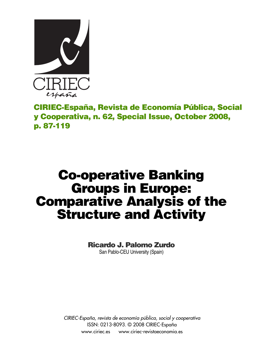

**CIRIEC-España, Revista de Economía Pública, Social y Cooperativa, n. 62, Special Issue, October 2008, p. 87-119**

# **Co-operative Banking Groups in Europe: Comparative Analysis of the Structure and Activity**

# **Ricardo J. Palomo Zurdo**

San Pablo-CEU University (Spain)

*CIRIEC-España, revista de economía pública, social y cooperativa* ISSN: 0213-8093. © 2008 CIRIEC-España www.ciriec.es www.ciriec-revistaeconomia.es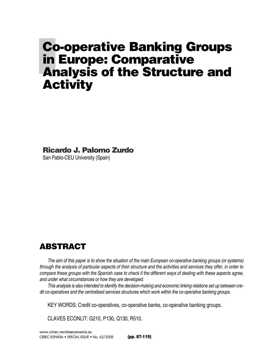# **Co-operative Banking Groups in Europe: Comparative Analysis of the Structure and Activity**

**Ricardo J. Palomo Zurdo** 

San Pablo-CEU University (Spain)

# **ABSTRACT**

*The aim of this paper is to show the situation of the main European co-operative banking groups (or systems) through the analysis of particular aspects of their structure and the activities and services they offer, in order to compare these groups with the Spanish case to check if the different ways of dealing with these aspects agree, and under what circumstances or how they are developed.*

*This analysis is also intended to identify the decision-making and economic linking relations set up between credit co-operatives and the centralised services structures which work within the co-operative banking groups.* 

KEY WORDS: Credit co-operatives, co-operative banks, co-operative banking groups.

CLAVES ECONLIT: G210, P130, Q130, R510.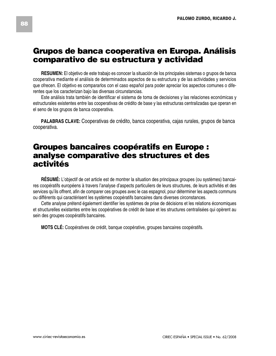# **Grupos de banca cooperativa en Europa. Análisis comparativo de su estructura y actividad**

**RESUMEN:** El objetivo de este trabajo es conocer la situación de los principales sistemas o grupos de banca cooperativa mediante el análisis de determinados aspectos de su estructura y de las actividades y servicios que ofrecen. El objetivo es compararlos con el caso español para poder apreciar los aspectos comunes o diferentes que los caracterizan bajo las diversas circunstancias.

Este análisis trata también de identificar el sistema de toma de decisiones y las relaciones económicas y estructurales existentes entre las cooperativas de crédito de base y las estructuras centralizadas que operan en el seno de los grupos de banca cooperativa.

**PALABRAS CLAVE:** Cooperativas de crédito, banca cooperativa, cajas rurales, grupos de banca cooperativa.

# **Groupes bancaires coopératifs en Europe : analyse comparative des structures et des activités**

**RÉSUMÉ:** L'objectif de cet article est de montrer la situation des principaux groupes (ou systèmes) bancaires coopératifs européens à travers l'analyse d'aspects particuliers de leurs structures, de leurs activités et des services qu'ils offrent, afin de comparer ces groupes avec le cas espagnol, pour déterminer les aspects communs ou différents qui caractérisent les systèmes coopératifs bancaires dans diverses circonstances.

Cette analyse prétend également identifier les systèmes de prise de décisions et les relations économiques et structurelles existantes entre les coopératives de crédit de base et les structures centralisées qui opèrent au sein des groupes coopératifs bancaires.

**MOTS CLÉ:** Coopératives de crédit, banque coopérative, groupes bancaires coopératifs.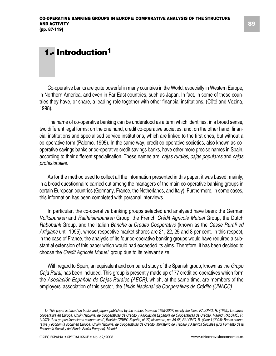# **1.- Introduction1**

Co-operative banks are quite powerful in many countries in the World, especially in Western Europe, in Northern America, and even in Far East countries, such as Japan. In fact, in some of these countries they have, or share, a leading role together with other financial institutions. (Cöté and Vezina, 1998).

The name of co-operative banking can be understood as a term which identifies, in a broad sense, two different legal forms: on the one hand, credit co-operative societies; and, on the other hand, financial institutions and specialised service institutions, which are linked to the first ones, but without a co-operative form (Palomo, 1995). In the same way, credit co-operative societies, also known as cooperative savings banks or co-operative credit savings banks, have other more precise names in Spain, according to their different specialisation. These names are: *cajas rurales*, *cajas populares* and *cajas profesionales*.

As for the method used to collect all the information presented in this paper, it was based, mainly, in a broad questionnaire carried out among the managers of the main co-operative banking groups in certain European countries (Germany, France, the Netherlands, and Italy). Furthermore, in some cases, this information has been completed with personal interviews.

In particular, the co-operative banking groups selected and analysed have been: the German *Volksbanken* and *Raiffeisenbanken* Group, the French *Crédit Agricole Mutuel* Group, the Dutch *Rabobank* Group, and the Italian *Banche di Credito Cooperativo* (known as the *Casse Rurali ed Artigiane* until 1995), whose respective market shares are 21, 22, 25 and 8 per cent. In this respect, in the case of France, the analysis of its four co-operative banking groups would have required a substantial extension of this paper which would had exceeded its aims. Therefore, it has been decided to choose the *Crédit Agricole Mutuel* group due to its relevant size.

With regard to Spain, an equivalent and compared study of the Spanish group, known as the *Grupo Caja Rural*, has been included. This group is presently made up of 77 credit co-operatives which form the *Asociación Española de Cajas Rurales (AECR)*, which, at the same time, are members of the employers' association of this sector, the *Unión Nacional de Cooperativas de Crédito (UNACC)*.

*<sup>1.-</sup> This paper is based on books and papers published by the author, between 1995-2007, mainly the titles: PALOMO, R. (1995): La banca cooperativa en Europa, Unión Nacional de Cooperativas de Crédito y Asociación Española de Cooperativas de Crédito. Madrid; PALOMO, R. (1997): "Los grupos financieros cooperativos", Revista CIRIEC-España, nº 27, diciembre, pp. 35-68; PALOMO, R. (Coor.) (2004): Banca cooperativa y economía social en Europa. Unión Nacional de Cooperativas de Crédito, Ministerio de Trabajo y Asuntos Sociales (DG Fomento de la Economía Social y del Fondo Social Europeo). Madrid.*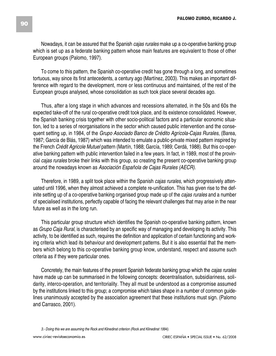Nowadays, it can be assured that the Spanish *cajas rurales* make up a co-operative banking group which is set up as a federate banking pattern whose main features are equivalent to those of other European groups (Palomo, 1997).

To come to this pattern, the Spanish co-operative credit has gone through a long, and sometimes tortuous, way since its first antecedents, a century ago (Martínez, 2003). This makes an important difference with regard to the development, more or less continuous and maintained, of the rest of the European groups analysed, whose consolidation as such took place several decades ago.

Thus, after a long stage in which advances and recessions alternated, in the 50s and 60s the expected take-off of the rural co-operative credit took place, and its existence consolidated. However, the Spanish banking crisis together with other socio-political factors and a particular economic situation, led to a series of reorganisations in the sector which caused public intervention and the consequent setting up, in 1984, of the *Grupo Asociado Banco de Crédito Agrícola-Cajas Rurales*, (Barea, 1987; García de Blás, 1987) which was intended to emulate a public-private mixed pattern inspired by the French *Crédit Agricole Mutuel* pattern (Martín, 1988; García, 1989; Cerdá, 1988). But this co-operative banking pattern with public intervention failed in a few years. In fact, in 1989, most of the provincial *cajas rurales* broke their links with this group, so creating the present co-operative banking group around the nowadays known as *Asociación Española de Cajas Rurales (AECR).*

Therefore, in 1989, a split took place within the Spanish *cajas rurales*, which progressively attenuated until 1996, when they almost achieved a complete re-unification. This has given rise to the definite setting up of a co-operative banking organised group made up of the *cajas rurales* and a number of specialised institutions, perfectly capable of facing the relevant challenges that may arise in the near future as well as in the long run.

This particular group structure which identifies the Spanish co-operative banking pattern, known as *Grupo Caja Rural*, is characterised by an specific way of managing and developing its activity. This activity, to be identified as such, requires the definition and application of certain functioning and working criteria which lead its behaviour and development patterns. But it is also essential that the members which belong to this co-operative banking group know, understand, respect and assume such criteria as if they were particular ones.

Concretely, the main features of the present Spanish federate banking group which the *cajas rurales* have made up can be summarised in the following concepts: decentralisation, subsidiariness, solidarity, interco-operation, and territoriality. They all must be understood as a compromise assumed by the institutions linked to this group; a compromise which takes shape in a number of common guidelines unanimously accepted by the association agreement that these institutions must sign. (Palomo and Carrasco, 2001).

*<sup>3.-</sup> Doing this we are assuming the Rock and Klinedinst criterion (Rock and Klinedinst 1994).*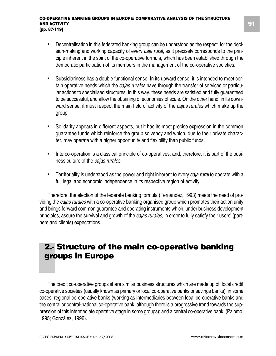- Decentralisation in this federated banking group can be understood as the respect for the decision-making and working capacity of every *caja rural*, as it precisely corresponds to the principle inherent in the spirit of the co-operative formula, which has been established through the democratic participation of its members in the management of the co-operative societies.
- Subsidiariness has a double functional sense. In its upward sense, it is intended to meet certain operative needs which the *cajas rurales* have through the transfer of services or particular actions to specialised structures. In this way, these needs are satisfied and fully guaranteed to be successful, and allow the obtaining of economies of scale. On the other hand, in its downward sense, it must respect the main field of activity of the *cajas rurales* which make up the group.
- Solidarity appears in different aspects, but it has its most precise expression in the common guarantee funds which reinforce the group solvency and which, due to their private character, may operate with a higher opportunity and flexibility than public funds.
- Interco-operation is a classical principle of co-operatives, and, therefore, it is part of the business culture of the *cajas rurales*.
- Territoriality is understood as the power and right inherent to every *caja rural* to operate with a full legal and economic independence in its respective region of activity.

Therefore, the election of the federate banking formula (Fernández, 1993) meets the need of providing the *cajas rurales* with a co-operative banking organised group which promotes their action unity and brings forward common guarantee and operating instruments which, under business development principles, assure the survival and growth of the *cajas rurales*, in order to fully satisfy their users' (partners and clients) expectations.

# **2.- Structure of the main co-operative banking groups in Europe**

The credit co-operative groups share similar business structures which are made up of: local credit co-operative societies (usually known as primary or local co-operative banks or savings banks); in some cases, regional co-operative banks (working as intermediaries between local co-operative banks and the central or central-national co-operative bank, although there is a progressive trend towards the suppression of this intermediate operative stage in some groups); and a central co-operative bank. (Palomo, 1995; González, 1996).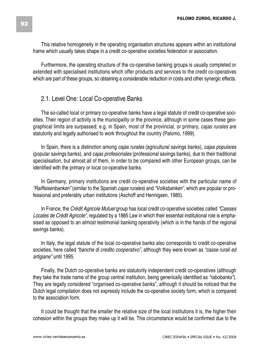This relative homogeneity in the operating organisation structures appears within an institutional frame which usually takes shape in a credit co-operative societies federation or association.

Furthermore, the operating structure of the co-operative banking groups is usually completed or extended with specialised institutions which offer products and services to the credit co-operatives which are part of these groups, so obtaining a considerable reduction in costs and other synergic effects.

### 2.1. Level One: Local Co-operative Banks

The so-called local or primary co-operative banks have a legal statute of credit co-operative societies. Their region of activity is the municipality or the province, although in some cases these geographical limits are surpassed; e.g. in Spain, most of the provincial, or primary, *cajas rurales* are statutorily and legally authorised to work throughout the country (Palomo, 1999).

In Spain, there is a distinction among *cajas rurales* (agricultural savings banks), *cajas populares* (popular savings banks), and *cajas profesionales* (professional savings banks), due to their traditional specialisation, but almost all of them, in order to be compared with other European groups, can be identified with the primary or local co-operative banks.

In Germany, primary institutions are credit co-operative societies with the particular name of *"Raiffeisenbanken"* (similar to the Spanish *cajas rurales*) and *"Volksbanken",* which are popular or professional and preferably urban institutions (Aschoff and Hennigsen, 1985).

In France, the *Crédit Agricole Mutuel* group has local credit co-operative societies called *"Caisses Locales de Crédit Agricole"*, regulated by a 1885 Law in which their essential institutional role is emphasised as opposed to an almost testimonial banking operativity (which is in the hands of the regional savings banks).

In Italy, the legal statute of the local co-operative banks also corresponds to credit co-operative societies, here called *"banche di credito cooperativo"*, although they were known as *"casse rurali ed artigiane"* until 1995.

Finally, the Dutch co-operative banks are statutorily independent credit co-operatives (although they take the trade name of the group central institution, being generically identified as *"rabobanks"*). They are legally considered "organised co-operative banks", although it should be noticed that the Dutch legal compilation does not expressly include the co-operative society form, which is compared to the association form.

It could be thought that the smaller the relative size of the local institutions it is, the higher their cohesion within the groups they make up it will be. This circumstance would be confirmed due to the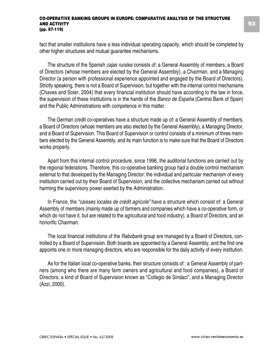fact that smaller institutions have a less individual operating capacity, which should be completed by other higher structures and mutual guarantee mechanisms.

The structure of the Spanish *cajas rurales* consists of: a General Assembly of members, a Board of Directors (whose members are elected by the General Assembly), a Chairman, and a Managing Director (a person with professional experience appointed and engaged by the Board of Directors). Strictly speaking, there is not a Board of Supervision, but together with the internal control mechanisms (Chaves and Soler, 2004) that every financial institution should have according to the law in force, the supervision of these institutions is in the hands of the *Banco de España* (Central Bank of Spain) and the Public Administrations with competence in this matter.

The German credit co-operatives have a structure made up of: a General Assembly of members, a Board of Directors (whose members are also elected by the General Assembly), a Managing Director, and a Board of Supervision. This Board of Supervision or control consists of a minimum of three members elected by the General Assembly, and its main function is to make sure that the Board of Directors works properly.

Apart from this internal control procedure, since 1996, the auditorial functions are carried out by the regional federations. Therefore, this co-operative banking group had a double control mechanism external to that developed by the Managing Director: the individual and particular mechanism of every institution carried out by their Board of Supervision, and the collective mechanism carried out without harming the supervisory power exerted by the Administration.

In France, the *"caisses locales de crédit agricole"* have a structure which consist of: a General Assembly of members (mainly made up of farmers and companies which have a co-operative form, or which do not have it, but are related to the agricultural and food industry), a Board of Directors, and an honorific Chairman.

The local financial institutions of the *Rabobank* group are managed by a Board of Directors, controlled by a Board of Supervision. Both boards are appointed by a General Assembly, and the first one appoints one or more managing directors, who are responsible for the daily activity of every institution.

As for the Italian local co-operative banks, their structure consists of : a General Assembly of partners (among who there are many farm owners and agricultural and food companies), a Board of Directors, a kind of Board of Supervision known as "Collegio de Sindaci", and a Managing Director (Azzi, 2000).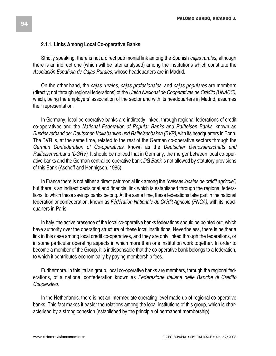### **2.1.1. Links Among Local Co-operative Banks**

Strictly speaking, there is not a direct patrimonial link among the Spanish *cajas rurales*, although there is an indirect one (which will be later analysed) among the institutions which constitute the *Asociación Española de Cajas Rurales*, whose headquarters are in Madrid.

On the other hand, the *cajas rurales*, *cajas profesionales*, and *cajas populares* are members (directly; not through regional federations) of the *Unión Nacional de Cooperativas de Crédito (UNACC)*, which, being the employers' association of the sector and with its headquarters in Madrid, assumes their representation.

In Germany, local co-operative banks are indirectly linked, through regional federations of credit co-operatives and the *National Federation of Popular Banks and Raiffeisen Banks*, known as *Bundesverband der Deutschen Volksbanken und Raiffeisenbaken (BVR)*, with its headquarters in Bonn. The BVR is, at the same time, related to the rest of the German co-operative sectors through the *German Confederation of Co-operatives*, known as the *Deutscher Genossenschafts und Raiffeisenverband (DGRV)*. It should be noticed that in Germany, the merger between local co-operative banks and the German central co-operative bank *DG Bank* is not allowed by statutory provisions of this Bank (Aschoff and Hennigsen, 1985).

In France there is not either a direct patrimonial link among the *"caisses locales de crédit agricole"*, but there is an indirect decisional and financial link which is established through the regional federations, to which these savings banks belong. At the same time, these federations take part in the national federation or confederation, known as *Fédération Nationale du Crédit Agricole (FNCA)*, with its headquarters in Paris.

In Italy, the active presence of the local co-operative banks federations should be pointed out, which have authority over the operating structure of these local institutions. Nevertheless, there is neither a link in this case among local credit co-operatives, and they are only linked through the federations, or in some particular operating aspects in which more than one institution work together. In order to become a member of the Group, it is indispensable that the co-operative bank belongs to a federation, to which it contributes economically by paying membership fees.

Furthermore, in this Italian group, local co-operative banks are members, through the regional federations, of a national confederation known as *Federazione Italiana delle Banche di Crédito Cooperativo*.

In the Netherlands, there is not an intermediate operating level made up of regional co-operative banks. This fact makes it easier the relations among the local institutions of this group, which is characterised by a strong cohesion (established by the principle of permanent membership).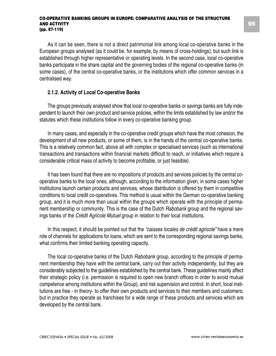As it can be seen, there is not a direct patrimonial link among local co-operative banks in the European groups analysed (as it could be, for example, by means of cross-holdings), but such link is established through higher representative or operating levels. In the second case, local co-operative banks participate in the share capital and the governing bodies of the regional co-operative banks (in some cases), of the central co-operative banks, or the institutions which offer common services in a centralised way.

### **2.1.2. Activity of Local Co-operative Banks**

The groups previously analysed show that local co-operative banks or savings banks are fully independent to launch their own product and service policies, within the limits established by law and/or the statutes which these institutions follow in every co-operative banking group.

In many cases, and especially in the co-operative credit groups which have the most cohesion, the development of all new products, or some of them, is in the hands of the central co-operative banks. This is a relatively common fact, above all with complex or specialised services (such as international transactions and transactions within financial markets difficult to reach, or initiatives which require a considerable critical mass of activity to become profitable, or just feasible).

It has been found that there are no impositions of products and services policies by the central cooperative banks to the local ones, although, according to the information given, in some cases higher institutions launch certain products and services, whose distribution is offered by them in competitive conditions to local credit co-operatives. This method is usual within the German co-operative banking group, and it is much more than usual within the groups which operate with the principle of permanent membership or community. This is the case of the Dutch *Rabobank* group and the regional savings banks of the *Crédit Agricole Mutuel* group in relation to their local institutions.

In this respect, it should be pointed out that the *"caisses locales de crédit agricole"* have a mere role of channels for applications for loans, which are sent to the corresponding regional savings banks, what confirms their limited banking operating capacity.

The local co-operative banks of the Dutch *Rabobank* group, according to the principle of permanent membership they have with the central bank, carry out their activity independently, but they are considerably subjected to the guidelines established by the central bank. These guidelines mainly affect their strategic policy (i.e. permission is required to open new branch offices in order to avoid mutual competence among institutions within the Group), and risk supervision and control. In short, local institutions are free - in theory- to offer their own products and services to their members and customers; but in practice they operate as franchises for a wide range of these products and services which are developed by the central bank.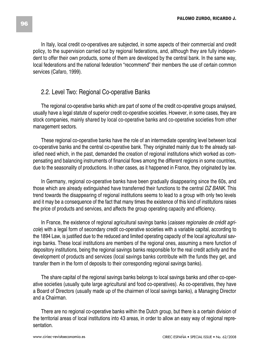In Italy, local credit co-operatives are subjected, in some aspects of their commercial and credit policy, to the supervision carried out by regional federations, and, although they are fully independent to offer their own products, some of them are developed by the central bank. In the same way, local federations and the national federation "recommend" their members the use of certain common services (Cafaro, 1999).

### 2.2. Level Two: Regional Co-operative Banks

The regional co-operative banks which are part of some of the credit co-operative groups analysed, usually have a legal statute of superior credit co-operative societies. However, in some cases, they are stock companies, mainly shared by local co-operative banks and co-operative societies from other management sectors.

These regional co-operative banks have the role of an intermediate operating level between local co-operative banks and the central co-operative bank. They originated mainly due to the already satisfied need which, in the past, demanded the creation of regional institutions which worked as compensating and balancing instruments of financial flows among the different regions in some countries, due to the seasonality of productions. In other cases, as it happened in France, they originated by law.

In Germany, regional co-operative banks have been gradually disappearing since the 60s, and those which are already extinguished have transferred their functions to the central *DZ BANK*. This trend towards the disappearing of regional institutions seems to lead to a group with only two levels and it may be a consequence of the fact that many times the existence of this kind of institutions raises the price of products and services, and affects the group operating capacity and efficiency.

In France, the existence of regional agricultural savings banks (*caisses regionales de crédit agricole*) with a legal form of secondary credit co-operative societies with a variable capital, according to the 1894 Law, is justified due to the reduced and limited operating capacity of the local agricultural savings banks. These local institutions are members of the regional ones, assuming a mere function of depository institutions, being the regional savings banks responsible for the real credit activity and the development of products and services (local savings banks contribute with the funds they get, and transfer them in the form of deposits to their corresponding regional savings banks).

The share capital of the regional savings banks belongs to local savings banks and other co-operative societies (usually quite large agricultural and food co-operatives). As co-operatives, they have a Board of Directors (usually made up of the chairmen of local savings banks), a Managing Director and a Chairman.

There are no regional co-operative banks within the Dutch group, but there is a certain division of the territorial areas of local institutions into 43 areas, in order to allow an easy way of regional representation.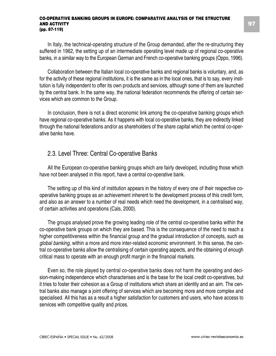In Italy, the technical-operating structure of the Group demanded, after the re-structuring they suffered in 1962, the setting up of an intermediate operating level made up of regional co-operative banks, in a similar way to the European German and French co-operative banking groups (Oppo, 1996).

Collaboration between the Italian local co-operative banks and regional banks is voluntary, and, as for the activity of these regional institutions, it is the same as in the local ones, that is to say, every institution is fully independent to offer its own products and services, although some of them are launched by the central bank. In the same way, the national federation recommends the offering of certain services which are common to the Group.

In conclusion, there is not a direct economic link among the co-operative banking groups which have regional co-operative banks. As it happens with local co-operative banks, they are indirectly linked through the national federations and/or as shareholders of the share capital which the central co-operative banks have.

### 2.3. Level Three: Central Co-operative Banks

All the European co-operative banking groups which are fairly developed, including those which have not been analysed in this report, have a central co-operative bank.

The setting up of this kind of institution appears in the history of every one of their respective cooperative banking groups as an achievement inherent to the development process of this credit form, and also as an answer to a number of real needs which need the development, in a centralised way, of certain activities and operations (Cals, 2000).

The groups analysed prove the growing leading role of the central co-operative banks within the co-operative bank groups on which they are based. This is the consequence of the need to reach a higher competitiveness within the financial group and the gradual introduction of concepts, such as *global banking*, within a more and more inter-related economic environment. In this sense, the central co-operative banks allow the centralising of certain operating aspects, and the obtaining of enough critical mass to operate with an enough profit margin in the financial markets.

Even so, the role played by central co-operative banks does not harm the operating and decision-making independence which characterises and is the base for the local credit co-operatives, but it tries to foster their cohesion as a Group of institutions which share an identity and an aim. The central banks also manage a joint offering of services which are becoming more and more complex and specialised. All this has as a result a higher satisfaction for customers and users, who have access to services with competitive quality and prices.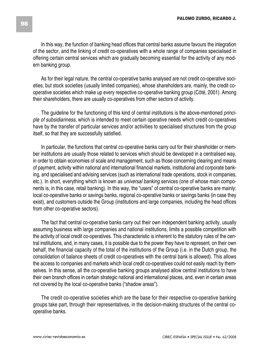In this way, the function of banking head offices that central banks assume favours the integration of the sector, and the linking of credit co-operatives with a whole range of companies specialised in offering certain central services which are gradually becoming essential for the activity of any modern banking group.

As for their legal nature, the central co-operative banks analysed are not credit co-operative societies, but stock societies (usually limited companies), whose shareholders are, mainly, the credit cooperative societies which make up every respective co-operative banking group (Cöté, 2001). Among their shareholders, there are usually co-operatives from other sectors of activity.

The guideline for the functioning of this kind of central institutions is the above-mentioned *principle of subsidiariness*, which is intended to meet certain operative needs which credit co-operatives have by the transfer of particular services and/or activities to specialised structures from the group itself, so that they are successfully satisfied.

In particular, the functions that central co-operative banks carry out for their shareholder or member institutions are usually those related to services which should be developed in a centralised way, in order to obtain economies of scale and management, such as those concerning clearing and means of payment, activity within national and international financial markets, institutional and corporate banking, and specialised and advising services (such as international trade operations, stock in companies, etc.). In short, everything which is known as *universal banking* services (one of whose main components is, in this case, retail banking). In this way, the "users" of central co-operative banks are mainly: local co-operative banks or savings banks, regional co-operative banks or savings banks (in case they exist), and customers outside the Group (institutions and large companies, including the head offices from other co-operative sectors).

The fact that central co-operative banks carry out their own independent banking activity, usually assuming business with large companies and national institutions, limits a possible competition with the activity of local credit co-operatives. This characteristic is inherent to the statutory rules of the central institutions, and, in many cases, it is possible due to the power they have to represent, on their own behalf, the financial capacity of the total of the institutions of the Group (i.e. in the Dutch group, the consolidation of balance sheets of credit co-operatives with the central bank is allowed). This allows the access to companies and markets which local credit co-operatives could not easily reach by themselves. In this sense, all the co-operative banking groups analysed allow central institutions to have their own branch offices in certain strategic national and international places, and, even in certain areas not covered by the local co-operative banks ("shadow areas").

The credit co-operative societies which are the base for their respective co-operative banking groups take part, through their representatives, in the decision-making structures of the central cooperative banks.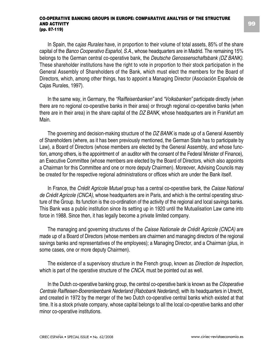In Spain, the c*ajas Rurales* have, in proportion to their volume of total assets, 85% of the share capital of the *Banco Cooperativo Español, S.A.*, whose headquarters are in Madrid. The remaining 15% belongs to the German central co-operative bank, the *Deutsche Genossenschaftsbank (DZ BANK)*. These shareholder institutions have the right to vote in proportion to their stock participation in the General Assembly of Shareholders of the Bank, which must elect the members for the Board of Directors, which, among other things, has to appoint a Managing Director (Asociación Española de Cajas Rurales, 1997).

In the same way, in Germany, the *"Raiffeisenbanken"* and *"Volksbanken"* participate directly (when there are no regional co-operative banks in their area) or through regional co-operative banks (when there are in their area) in the share capital of the *DZ BANK*, whose headquarters are in Frankfurt am Main.

The governing and decision-making structure of the *DZ BANK* is made up of a General Assembly of Shareholders (where, as it has been previously mentioned, the German State has to participate by Law), a Board of Directors (whose members are elected by the General Assembly, and whose function, among others, is the appointment of an auditor with the consent of the Federal Minister of Finance), an Executive Committee (whose members are elected by the Board of Directors, which also appoints a Chairman for this Committee and one or more deputy Chairmen). Moreover, Advising Councils may be created for the respective regional administrations or offices which are under the Bank itself.

In France, the *Crédit Agricole Mutuel* group has a central co-operative bank, the *Caisse National de Crédit Agricole (CNCA)*, whose headquarters are in Paris, and which is the central operating structure of the Group. Its function is the co-ordination of the activity of the regional and local savings banks. This Bank was a public institution since its setting up in 1920 until the Mutualisation Law came into force in 1988. Since then, it has legally become a private limited company.

The managing and governing structures of the *Caisse Nationale de Crédit Agricole (CNCA)* are made up of a Board of Directors (whose members are chairmen and managing directors of the regional savings banks and representatives of the employees); a Managing Director, and a Chairman (plus, in some cases, one or more deputy Chairmen).

The existence of a supervisory structure in the French group, known as *Direction de Inspection*, which is part of the operative structure of the *CNCA*, must be pointed out as well.

In the Dutch co-operative banking group, the central co-operative bank is known as the *Cöoperative Centrale Raiffeisen-Boerenleenbank Nederland (Rabobank Nederland)*, with its headquarters in Utrecht, and created in 1972 by the merger of the two Dutch co-operative central banks which existed at that time. It is a stock private company, whose capital belongs to all the local co-operative banks and other minor co-operative institutions.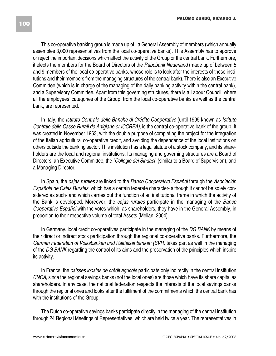This co-operative banking group is made up of : a General Assembly of members (which annually assembles 3,000 representatives from the local co-operative banks). This Assembly has to approve or reject the important decisions which affect the activity of the Group or the central bank. Furthermore, it elects the members for the Board of Directors of the *Rabobank Nederland* (made up of between 5 and 9 members of the local co-operative banks, whose role is to look after the interests of these institutions and their members from the managing structures of the central bank). There is also an Executive Committee (which is in charge of the managing of the daily banking activity within the central bank), and a Supervisory Committee. Apart from this governing structures, there is a Labour Council, where all the employees' categories of the Group, from the local co-operative banks as well as the central bank, are represented.

In Italy, the *Istituto Centrale delle Banche di Crédito Cooperativo* (until 1995 known as *Istituto Centrale delle Casse Rurali de Artigiane or ICCREA)*, is the central co-operative bank of the group. It was created in November 1963, with the double purpose of completing the project for the integration of the Italian agricultural co-operative credit, and avoiding the dependence of the local institutions on others outside the banking sector. This institution has a legal statute of a stock company, and its shareholders are the local and regional institutions. Its managing and governing structures are a Board of Directors, an Executive Committee, the *"Collegio dei Sindaci*" (similar to a Board of Supervision), and a Managing Director.

In Spain, the *cajas rurales* are linked to the *Banco Cooperativo Español* through the *Asociación Española de Cajas Rurales*, which has a certain federate character- although it cannot be solely considered as such- and which carries out the function of an institutional frame in which the activity of the Bank is developed. Moreover, the *cajas rurales* participate in the managing of the *Banco Cooperativo Español* with the votes which, as shareholders, they have in the General Assembly, in proportion to their respective volume of total Assets (Melian, 2004).

In Germany, local credit co-operatives participate in the managing of the *DG BANK* by means of their direct or indirect stock participation through the regional co-operative banks. Furthermore, the *German Federation of Volksbanken und Raiffeisenbanken (BVR)* takes part as well in the managing of the *DG BANK* regarding the control of its aims and the preservation of the principles which inspire its activity.

In France, the *caisses locales de crédit agricole* participate only indirectly in the central institution *CNCA*, since the regional savings banks (not the local ones) are those which have its share capital as shareholders. In any case, the national federation respects the interests of the local savings banks through the regional ones and looks after the fulfilment of the commitments which the central bank has with the institutions of the Group.

The Dutch co-operative savings banks participate directly in the managing of the central institution through 24 Regional Meetings of Representatives, which are held twice a year. The representatives in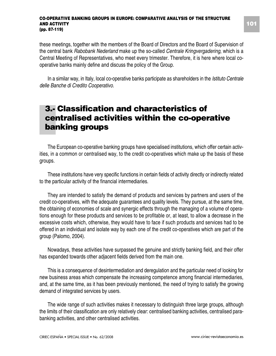these meetings, together with the members of the Board of Directors and the Board of Supervision of the central bank *Rabobank Nederland* make up the so-called *Centrale Kringvergadering*, which is a Central Meeting of Representatives, who meet every trimester. Therefore, it is here where local cooperative banks mainly define and discuss the policy of the Group.

In a similar way, in Italy, local co-operative banks participate as shareholders in the *Istituto Centrale delle Banche di Credito Cooperativo.*

# **3.- Classification and characteristics of centralised activities within the co-operative banking groups**

The European co-operative banking groups have specialised institutions, which offer certain activities, in a common or centralised way, to the credit co-operatives which make up the basis of these groups.

These institutions have very specific functions in certain fields of activity directly or indirectly related to the particular activity of the financial intermediaries.

They are intended to satisfy the demand of products and services by partners and users of the credit co-operatives, with the adequate guarantees and quality levels. They pursue, at the same time, the obtaining of economies of scale and synergic effects through the managing of a volume of operations enough for these products and services to be profitable or, at least, to allow a decrease in the excessive costs which, otherwise, they would have to face if such products and services had to be offered in an individual and isolate way by each one of the credit co-operatives which are part of the group (Palomo, 2004).

Nowadays, these activities have surpassed the genuine and strictly banking field, and their offer has expanded towards other adjacent fields derived from the main one.

This is a consequence of desintermediation and deregulation and the particular need of looking for new business areas which compensate the increasing competence among financial intermediaries, and, at the same time, as it has been previously mentioned, the need of trying to satisfy the growing demand of integrated services by users.

The wide range of such activities makes it necessary to distinguish three large groups, although the limits of their classification are only relatively clear: centralised banking activities, centralised parabanking activities, and other centralised activities.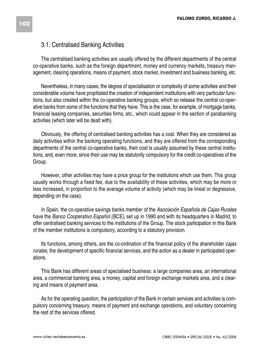### 3.1. Centralised Banking Activities

The centralised banking activities are usually offered by the different departments of the central co-operative banks, such as the foreign department, money and currency markets, treasury management, clearing operations, means of payment, stock market, investment and business banking, etc.

Nevertheless, in many cases, the degree of specialisation or complexity of some activities and their considerable volume have propitiated the creation of independent institutions with very particular functions, but also created within the co-operative banking groups, which so release the central co-operative banks from some of the functions that they have. This is the case, for example, of mortgage banks, financial leasing companies, securities firms, etc., which could appear in the section of parabanking activities (which later will be dealt with).

Obviously, the offering of centralised banking activities has a cost. When they are considered as daily activities within the banking operating functions, and they are offered from the corresponding departments of the central co-operative banks, their cost is usually assumed by these central institutions, and, even more, since their use may be statutorily compulsory for the credit co-operatives of the Group.

However, other activities may have a price group for the institutions which use them. This group usually works through a fixed fee, due to the availability of these activities, which may be more or less increased, in proportion to the average volume of activity (which may be lineal or degressive, depending on the case).

In Spain, the co-operative savings banks member of the *Asociación Española de Cajas Rurales* have the *Banco Cooperativo Español (BCE)*, set up in 1990 and with its headquarters in Madrid, to offer centralised banking services to the institutions of the Group. The stock participation in this Bank of the member institutions is compulsory, according to a statutory provision.

Its functions, among others, are the co-ordination of the financial policy of the shareholder *cajas rurales*, the development of specific financial services, and the action as a dealer in participated operations.

This Bank has different areas of specialised business: a large companies area, an international area, a commercial banking area, a money, capital and foreign exchange markets area, and a clearing and means of payment area.

As for the operating question, the participation of the Bank in certain services and activities is compulsory concerning treasury, means of payment and exchange operations, and voluntary concerning the rest of the services offered.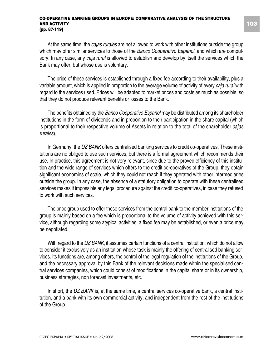At the same time, the *cajas rurales* are not allowed to work with other institutions outside the group which may offer similar services to those of the *Banco Cooperativo Español*, and which are compulsory. In any case, any *caja rural* is allowed to establish and develop by itself the services which the Bank may offer, but whose use is voluntary.

The price of these services is established through a fixed fee according to their availability, plus a variable amount, which is applied in proportion to the average volume of activity of every *caja rural* with regard to the services used. Prices will be adapted to market prices and costs as much as possible, so that they do not produce relevant benefits or losses to the Bank.

The benefits obtained by the *Banco Cooperativo Español* may be distributed among its shareholder institutions in the form of dividends and in proportion to their participation in the share capital (which is proportional to their respective volume of Assets in relation to the total of the shareholder *cajas rurales*).

In Germany, the *DZ BANK* offers centralised banking services to credit co-operatives. These institutions are no obliged to use such services, but there is a formal agreement which recommends their use. In practice, this agreement is not very relevant, since due to the proved efficiency of this institution and the wide range of services which offers to the credit co-operatives of the Group, they obtain significant economies of scale, which they could not reach if they operated with other intermediaries outside the group. In any case, the absence of a statutory obligation to operate with these centralised services makes it impossible any legal procedure against the credit co-operatives, in case they refused to work with such services.

The price group used to offer these services from the central bank to the member institutions of the group is mainly based on a fee which is proportional to the volume of activity achieved with this service, although regarding some atypical activities, a fixed fee may be established, or even a price may be negotiated.

With regard to the *DZ BANK*, it assumes certain functions of a central institution, which do not allow to consider it exclusively as an institution whose task is mainly the offering of centralised banking services. Its functions are, among others, the control of the legal regulation of the institutions of the Group, and the necessary approval by this Bank of the relevant decisions made within the specialised central services companies, which could consist of modifications in the capital share or in its ownership, business strategies, non forecast investments, etc.

In short, the *DZ BANK* is, at the same time, a central services co-operative bank, a central institution, and a bank with its own commercial activity, and independent from the rest of the institutions of the Group.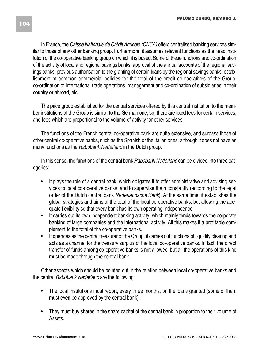In France, the *Caisse Nationale de Crédit Agricole (CNCA)* offers centralised banking services similar to those of any other banking group. Furthermore, it assumes relevant functions as the head institution of the co-operative banking group on which it is based. Some of these functions are: co-ordination of the activity of local and regional savings banks, approval of the annual accounts of the regional savings banks, previous authorisation to the granting of certain loans by the regional savings banks, establishment of common commercial policies for the total of the credit co-operatives of the Group, co-ordination of international trade operations, management and co-ordination of subsidiaries in their country or abroad, etc.

The price group established for the central services offered by this central institution to the member institutions of the Group is similar to the German one; so, there are fixed fees for certain services, and fees which are proportional to the volume of activity for other services.

The functions of the French central co-operative bank are quite extensive, and surpass those of other central co-operative banks, such as the Spanish or the Italian ones, although it does not have as many functions as the *Rabobank Nederland* in the Dutch group.

In this sense, the functions of the central bank *Rabobank Nederland* can be divided into three categories:

- It plays the role of a central bank, which obligates it to offer administrative and advising services to local co-operative banks, and to supervise them constantly (according to the legal order of the Dutch central bank *Nederlandsche Bank*). At the same time, it establishes the global strategies and aims of the total of the local co-operative banks, but allowing the adequate flexibility so that every bank has its own operating independence.
- It carries out its own independent banking activity, which mainly tends towards the corporate banking of large companies and the international activity. All this makes it a profitable complement to the total of the co-operative banks.
- It operates as the central treasurer of the Group, it carries out functions of liquidity clearing and acts as a channel for the treasury surplus of the local co-operative banks. In fact, the direct transfer of funds among co-operative banks is not allowed, but all the operations of this kind must be made through the central bank.

Other aspects which should be pointed out in the relation between local co-operative banks and the central *Rabobank Nederland* are the following:

- The local institutions must report, every three months, on the loans granted (some of them must even be approved by the central bank).
- They must buy shares in the share capital of the central bank in proportion to their volume of Assets.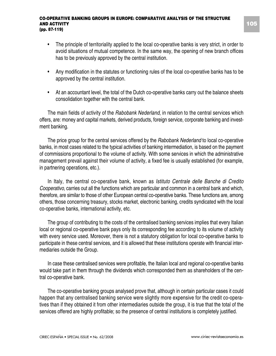- The principle of territoriality applied to the local co-operative banks is very strict, in order to avoid situations of mutual competence. In the same way, the opening of new branch offices has to be previously approved by the central institution.
- Any modification in the statutes or functioning rules of the local co-operative banks has to be approved by the central institution.
- At an accountant level, the total of the Dutch co-operative banks carry out the balance sheets consolidation together with the central bank.

The main fields of activity of the *Rabobank Nederland*, in relation to the central services which offers, are: money and capital markets, derived products, foreign service, corporate banking and investment banking.

The price group for the central services offered by the *Rabobank Nederland* to local co-operative banks, in most cases related to the typical activities of banking intermediation, is based on the payment of commissions proportional to the volume of activity. With some services in which the administrative management prevail against their volume of activity, a fixed fee is usually established (for example, in partnering operations, etc.).

In Italy, the central co-operative bank, known as *Istituto Centrale delle Banche di Credito Cooperativo*, carries out all the functions which are particular and common in a central bank and which, therefore, are similar to those of other European central co-operative banks. These functions are, among others, those concerning treasury, stocks market, electronic banking, credits syndicated with the local co-operative banks, international activity, etc.

The group of contributing to the costs of the centralised banking services implies that every Italian local or regional co-operative bank pays only its corresponding fee according to its volume of activity with every service used. Moreover, there is not a statutory obligation for local co-operative banks to participate in these central services, and it is allowed that these institutions operate with financial intermediaries outside the Group.

In case these centralised services were profitable, the Italian local and regional co-operative banks would take part in them through the dividends which corresponded them as shareholders of the central co-operative bank.

The co-operative banking groups analysed prove that, although in certain particular cases it could happen that any centralised banking service were slightly more expensive for the credit co-operatives than if they obtained it from other intermediaries outside the group, it is true that the total of the services offered are highly profitable; so the presence of central institutions is completely justified.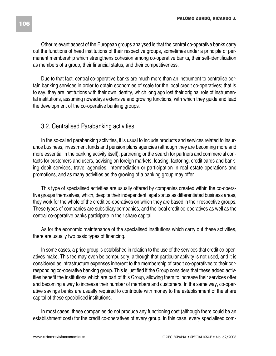Other relevant aspect of the European groups analysed is that the central co-operative banks carry out the functions of head institutions of their respective groups, sometimes under a principle of permanent membership which strengthens cohesion among co-operative banks, their self-identification as members of a group, their financial status, and their competitiveness.

Due to that fact, central co-operative banks are much more than an instrument to centralise certain banking services in order to obtain economies of scale for the local credit co-operatives; that is to say, they are institutions with their own identity, which long ago lost their original role of instrumental institutions, assuming nowadays extensive and growing functions, with which they guide and lead the development of the co-operative banking groups.

### 3.2. Centralised Parabanking activities

In the so-called parabanking activities, it is usual to include products and services related to insurance business, investment funds and pension plans agencies (although they are becoming more and more essential in the banking activity itself), partnering or the search for partners and commercial contacts for customers and users, advising on foreign markets, leasing, factoring, credit cards and banking debit services, travel agencies, intermediation or participation in real estate operations and promotions, and as many activities as the growing of a banking group may offer.

This type of specialised activities are usually offered by companies created within the co-operative groups themselves, which, despite their independent legal status as differentiated business areas, they work for the whole of the credit co-operatives on which they are based in their respective groups. These types of companies are subsidiary companies, and the local credit co-operatives as well as the central co-operative banks participate in their share capital.

As for the economic maintenance of the specialised institutions which carry out these activities, there are usually two basic types of financing.

In some cases, a price group is established in relation to the use of the services that credit co-operatives make. This fee may even be compulsory, although that particular activity is not used, and it is considered as infrastructure expenses inherent to the membership of credit co-operatives to their corresponding co-operative banking group. This is justified if the Group considers that these added activities benefit the institutions which are part of this Group, allowing them to increase their services offer and becoming a way to increase their number of members and customers. In the same way, co-operative savings banks are usually required to contribute with money to the establishment of the share capital of these specialised institutions.

In most cases, these companies do not produce any functioning cost (although there could be an establishment cost) for the credit co-operatives of every group. In this case, every specialised com-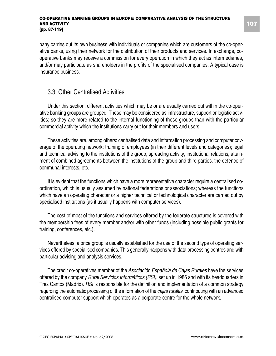pany carries out its own business with individuals or companies which are customers of the co-operative banks, using their network for the distribution of their products and services. In exchange, cooperative banks may receive a commission for every operation in which they act as intermediaries, and/or may participate as shareholders in the profits of the specialised companies. A typical case is insurance business.

### 3.3. Other Centralised Activities

Under this section, different activities which may be or are usually carried out within the co-operative banking groups are grouped. These may be considered as infrastructure, support or logistic activities; so they are more related to the internal functioning of these groups than with the particular commercial activity which the institutions carry out for their members and users.

These activities are, among others: centralised data and information processing and computer coverage of the operating network; training of employees (in their different levels and categories); legal and technical advising to the institutions of the group; spreading activity, institutional relations, attainment of combined agreements between the institutions of the group and third parties, the defence of communal interests, etc.

It is evident that the functions which have a more representative character require a centralised coordination, which is usually assumed by national federations or associations; whereas the functions which have an operating character or a higher technical or technological character are carried out by specialised institutions (as it usually happens with computer services).

The cost of most of the functions and services offered by the federate structures is covered with the membership fees of every member and/or with other funds (including possible public grants for training, conferences, etc.).

Nevertheless, a price group is usually established for the use of the second type of operating services offered by specialised companies. This generally happens with data processing centres and with particular advising and analysis services.

The credit co-operatives member of the *Asociación Española de Cajas Rurales* have the services offered by the company *Rural Servicios Informáticos (RSI)*, set up in 1986 and with its headquarters in Tres Cantos (Madrid). *RSI* is responsible for the definition and implementation of a common strategy regarding the automatic processing of the information of the *cajas rurales*, contributing with an advanced centralised computer support which operates as a corporate centre for the whole network.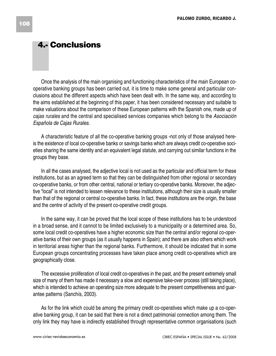# **4.- Conclusions**

Once the analysis of the main organising and functioning characteristics of the main European cooperative banking groups has been carried out, it is time to make some general and particular conclusions about the different aspects which have been dealt with. In the same way, and according to the aims established at the beginning of this paper, it has been considered necessary and suitable to make valuations about the comparison of these European patterns with the Spanish one, made up of *cajas rurales* and the central and specialised services companies which belong to the *Asociación Española de Cajas Rurales*.

A characteristic feature of all the co-operative banking groups -not only of those analysed hereis the existence of local co-operative banks or savings banks which are always credit co-operative societies sharing the same identity and an equivalent legal statute, and carrying out similar functions in the groups they base.

In all the cases analysed, the adjective local is not used as the particular and official term for these institutions, but as an agreed term so that they can be distinguished from other regional or secondary co-operative banks, or from other central, national or tertiary co-operative banks. Moreover, the adjective "local" is not intended to lessen relevance to these institutions, although their size is usually smaller than that of the regional or central co-operative banks. In fact, these institutions are the origin, the base and the centre of activity of the present co-operative credit groups.

In the same way, it can be proved that the local scope of these institutions has to be understood in a broad sense, and it cannot to be limited exclusively to a municipality or a determined area. So, some local credit co-operatives have a higher economic size than the central and/or regional co-operative banks of their own groups (as it usually happens in Spain); and there are also others which work in territorial areas higher than the regional banks. Furthermore, it should be indicated that in some European groups concentrating processes have taken place among credit co-operatives which are geographically close.

The excessive proliferation of local credit co-operatives in the past, and the present extremely small size of many of them has made it necessary a slow and expensive take-over process (still taking place), which is intended to achieve an operating size more adequate to the present competitiveness and guarantee patterns (Sanchís, 2003).

As for the link which could be among the primary credit co-operatives which make up a co-operative banking group, it can be said that there is not a direct patrimonial connection among them. The only link they may have is indirectly established through representative common organisations (such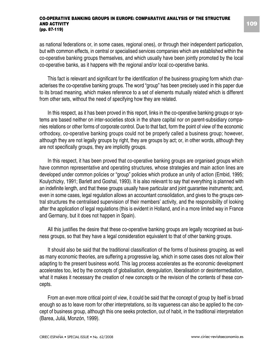as national federations or, in some cases, regional ones), or through their independent participation, but with common effects, in central or specialised services companies which are established within the co-operative banking groups themselves, and which usually have been jointly promoted by the local co-operative banks, as it happens with the regional and/or local co-operative banks.

This fact is relevant and significant for the identification of the business grouping form which characterises the co-operative banking groups. The word "group" has been precisely used in this paper due to its broad meaning, which makes reference to a set of elements mutually related which is different from other sets, without the need of specifying how they are related.

In this respect, as it has been proved in this report, links in the co-operative banking groups or systems are based neither on inter-societies stock in the share capital nor on parent-subsidiary companies relations or other forms of corporate control. Due to that fact, form the point of view of the economic orthodoxy, co-operative banking groups could not be properly called a business group; however, although they are not legally groups by right, they are groups by act; or, in other words, although they are not specifically groups, they are implicitly groups.

In this respect, it has been proved that co-operative banking groups are organised groups which have common representative and operating structures, whose strategies and main action lines are developed under common policies or "group" policies which produce an unity of action (Embid, 1995; Koulychizky, 1991; Barlett and Goshal, 1993). It is also relevant to say that everything is planned with an indefinite length, and that these groups usually have particular and joint guarantee instruments; and, even in some cases, legal regulation allows an accountant consolidation, and gives to the groups central structures the centralised supervision of their members' activity, and the responsibility of looking after the application of legal regulations (this is evident in Holland, and in a more limited way in France and Germany, but it does not happen in Spain).

All this justifies the desire that these co-operative banking groups are legally recognised as business groups, so that they have a legal consideration equivalent to that of other banking groups.

It should also be said that the traditional classification of the forms of business grouping, as well as many economic theories, are suffering a progressive lag, which in some cases does not allow their adapting to the present business world. This lag process accelerates as the economic development accelerates too, led by the concepts of globalisation, deregulation, liberalisation or desintermediation, what it makes it necessary the creation of new concepts or the revision of the contents of these concepts.

From an even more critical point of view, it could be said that the concept of group by itself is broad enough so as to leave room for other interpretations, so its vagueness can also be applied to the concept of business group, although this one seeks protection, out of habit, in the traditional interpretation (Barea, Juliá, Monzón, 1999).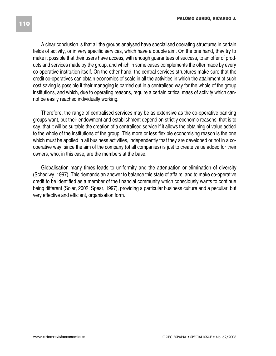A clear conclusion is that all the groups analysed have specialised operating structures in certain fields of activity, or in very specific services, which have a double aim. On the one hand, they try to make it possible that their users have access, with enough guarantees of success, to an offer of products and services made by the group, and which in some cases complements the offer made by every co-operative institution itself. On the other hand, the central services structures make sure that the credit co-operatives can obtain economies of scale in all the activities in which the attainment of such cost saving is possible if their managing is carried out in a centralised way for the whole of the group institutions, and which, due to operating reasons, require a certain critical mass of activity which cannot be easily reached individually working.

Therefore, the range of centralised services may be as extensive as the co-operative banking groups want, but their endowment and establishment depend on strictly economic reasons; that is to say, that it will be suitable the creation of a centralised service if it allows the obtaining of value added to the whole of the institutions of the group. This more or less flexible economising reason is the one which must be applied in all business activities, independently that they are developed or not in a cooperative way, since the aim of the company (of all companies) is just to create value added for their owners, who, in this case, are the members at the base.

Globalisation many times leads to uniformity and the attenuation or elimination of diversity (Schediwy, 1997). This demands an answer to balance this state of affairs, and to make co-operative credit to be identified as a member of the financial community which consciously wants to continue being different (Soler, 2002; Spear, 1997), providing a particular business culture and a peculiar, but very effective and efficient, organisation form.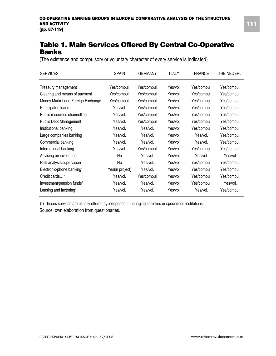# **Table 1. Main Services Offered By Central Co-Operative Banks**

(The existence and compulsory or voluntary character of every service is indicated)

| <b>SERVICES</b>                   | <b>SPAIN</b>    | <b>GERMANY</b> | <b>ITALY</b> | <b>FRANCE</b> | THE NEDERL. |  |
|-----------------------------------|-----------------|----------------|--------------|---------------|-------------|--|
| Treasury management               | Yes/compul.     | Yes/compul.    | Yes/vol.     | Yes/compul.   | Yes/compul. |  |
| Clearing and means of payment     | Yes/compul.     | Yes/compul.    | Yes/vol.     | Yes/compul.   | Yes/compul. |  |
| Money Market and Foreign Exchange | Yes/compul.     | Yes/compul.    | Yes/vol.     | Yes/compul.   | Yes/compul. |  |
| Participated loans                | Yes/vol.        | Yes/compul.    | Yes/vol.     | Yes/compul.   | Yes/compul. |  |
| Public resources channelling      | Yes/vol.        | Yes/compul.    | Yes/vol.     | Yes/compul.   | Yes/compul. |  |
| <b>Public Debt Management</b>     | Yes/vol.        | Yes/compul.    | Yes/vol.     | Yes/compul.   | Yes/compul. |  |
| Institutional banking             | Yes/vol.        | Yes/vol.       | Yes/vol.     | Yes/compul.   | Yes/compul. |  |
| Large companies banking           | Yes/vol.        | Yes/vol.       | Yes/vol.     | Yes/vol.      | Yes/compul. |  |
| Commercial banking                | Yes/vol.        | Yes/vol.       | Yes/vol.     | Yes/vol.      | Yes/compul. |  |
| International banking             | Yes/vol.        | Yes/compul.    | Yes/vol.     | Yes/compul.   | Yes/compul. |  |
| Advising on investment            | No              | Yes/vol.       | Yes/vol.     | Yes/vol.      | Yes/vol.    |  |
| Risk analysis/supervision         | No              | Yes/vol.       | Yes/vol.     | Yes/compul.   | Yes/compul. |  |
| Electronic/phone banking*         | Yes(in project) | Yes/vol.       | Yes/vol.     | Yes/compul.   | Yes/compul. |  |
| Credit cards*                     | Yes/vol.        | Yes/compul.    | Yes/vol.     | Yes/compul.   | Yes/compul. |  |
| Investment/pension funds*         | Yes/vol.        | Yes/vol.       | Yes/vol.     | Yes/compul.   | Yes/vol.    |  |
| Leasing and factoring*            | Yes/vol.        | Yes/vol.       | Yes/vol.     | Yes/vol.      | Yes/compul. |  |
|                                   |                 |                |              |               |             |  |

(\*) Theses services are usually offered by independent managing societies or specialised institutions.

Source: own elaboration from questionaries.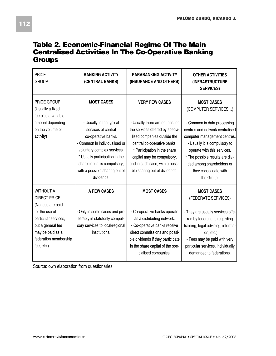## **Table 2. Economic-Financial Regime Of The Main Centralised Activities In The Co-Operative Banking Groups**

| PRICE<br><b>GROUP</b>                                                                                                                                                                  | <b>BANKING ACTIVITY</b><br>(CENTRAL BANKS)                                                                                                                                                                                                               | <b>PARABANKING ACTIVITY</b><br>(INSURANCE AND OTHERS)                                                                                                                                                                                                              | <b>OTHER ACTIVITIES</b><br><i><b>(INFRASTRUCTURE)</b></i><br><b>SERVICES)</b>                                                                                                                                                                                          |
|----------------------------------------------------------------------------------------------------------------------------------------------------------------------------------------|----------------------------------------------------------------------------------------------------------------------------------------------------------------------------------------------------------------------------------------------------------|--------------------------------------------------------------------------------------------------------------------------------------------------------------------------------------------------------------------------------------------------------------------|------------------------------------------------------------------------------------------------------------------------------------------------------------------------------------------------------------------------------------------------------------------------|
| PRICE GROUP<br>(Usually a fixed                                                                                                                                                        | <b>MOST CASES</b>                                                                                                                                                                                                                                        | <b>VERY FEW CASES</b>                                                                                                                                                                                                                                              | <b>MOST CASES</b><br>(COMPUTER SERVICES)                                                                                                                                                                                                                               |
| fee plus a variable<br>amount depending<br>on the volume of<br>activity)                                                                                                               | - Usually in the typical<br>services of central<br>co-operative banks.<br>- Common in individualised or<br>voluntary complex services.<br>* Usually participation in the<br>share capital is compulsory,<br>with a possible sharing out of<br>dividends. | - Usually there are no fees for<br>the services offered by specia-<br>lised companies outside the<br>central co-operative banks.<br>* Participation in the share<br>capital may be compulsory,<br>and in such case, with a possi-<br>ble sharing out of dividends. | - Common in data processing<br>centres and network centralised<br>computer management centres.<br>- Usually it is compulsory to<br>operate with this services.<br>* The possible results are divi-<br>ded among shareholders or<br>they consolidate with<br>the Group. |
| <b>WITHOUT A</b><br><b>DIRECT PRICE</b><br>(No fees are paid<br>for the use of<br>particular services,<br>but a general fee<br>may be paid as a<br>federation membership<br>fee, etc.) | <b>A FEW CASES</b>                                                                                                                                                                                                                                       | <b>MOST CASES</b>                                                                                                                                                                                                                                                  | <b>MOST CASES</b><br>(FEDERATE SERVICES)                                                                                                                                                                                                                               |
|                                                                                                                                                                                        | - Only in some cases and pre-<br>ferably in statutorily compul-<br>sory services to local/regional<br>institutions.                                                                                                                                      | - Co-operative banks operate<br>as a distributing network.<br>- Co-operative banks receive<br>direct commissions and possi-<br>ble dividends if they participate<br>in the share capital of the spe-<br>cialised companies.                                        | - They are usually services offe-<br>red by federations regarding<br>training, legal advising, informa-<br>tion, etc.)<br>- Fees may be paid with very<br>particular services, individually<br>demanded to federations.                                                |

Source: own elaboration from questionaries.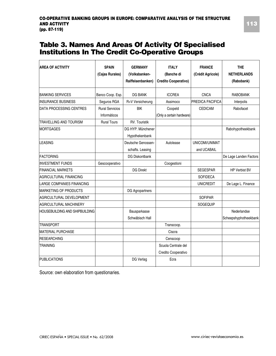## **Table 3. Names And Areas Of Activity Of Specialised Institutions In The Credit Co-Operative Groups**

| <b>AREA OF ACTIVITY</b>        | <b>SPAIN</b><br>(Cajas Rurales)        | <b>GERMANY</b><br>(Volksbanken-<br>Raiffeisenbanken) | <b>ITALY</b><br>(Banche di<br><b>Credito Cooperativo)</b> | <b>FRANCE</b><br>(Crédit Agricole) | <b>THE</b><br><b>NETHERLANDS</b><br>(Rabobank) |
|--------------------------------|----------------------------------------|------------------------------------------------------|-----------------------------------------------------------|------------------------------------|------------------------------------------------|
| <b>BANKING SERVICES</b>        | Banco Coop. Esp.                       | DG BANK                                              | <b>ICCREA</b>                                             | <b>CNCA</b>                        | <b>RABOBANK</b>                                |
| IINSURANCE BUSINESS            | Seguros RGA                            | R+V Versicherung                                     | Assimoco                                                  | <b>PREDICA PACIFICA</b>            | Interpolis                                     |
| <b>DATA PROCESSING CENTRES</b> | <b>Rural Servicios</b><br>Informáticos | <b>BIK</b>                                           | Coopeld<br>(Only a certain hardware)                      | <b>CEDICAM</b>                     | Rabofacet                                      |
| TRAVELLING AND TOURISM         | <b>Rural Tours</b>                     | RV. Touristik                                        |                                                           |                                    |                                                |
| <b>MORTGAGES</b>               |                                        | DG HYP. Münchener<br>Hypothekenbank                  |                                                           |                                    | Rabohypotheekbank                              |
| LEASING                        |                                        | Deutsche Genossen-<br>schafts. Leasing               | Autolease                                                 | UNICOMI/UNIMAT<br>and UCABAIL      |                                                |
| <b>FACTORING</b>               |                                        | DG Diskontbank                                       |                                                           |                                    | De Lage Landen Factors                         |
| <b>INVESTMENT FUNDS</b>        | Gescooperativo                         |                                                      | Coogestioni                                               |                                    |                                                |
| <b>FINANCIAL MARKETS</b>       |                                        | <b>DG Direkt</b>                                     |                                                           | <b>SEGESPAR</b>                    | <b>HP Verbist BV</b>                           |
| AGRICULTURAL FINANCING         |                                        |                                                      |                                                           | <b>SOFIDECA</b>                    |                                                |
| LARGE COMPANIES FINANCING      |                                        |                                                      |                                                           | <b>UNICREDIT</b>                   | De Lage L. Finance                             |
| <b>IMARKETING OF PRODUCTS</b>  |                                        | DG Agropartners                                      |                                                           |                                    |                                                |
| AGRICULTURAL DEVELOPMENT       |                                        |                                                      |                                                           | <b>SOFIPAR</b>                     |                                                |
| <b>AGRICULTURAL MACHINERY</b>  |                                        |                                                      |                                                           | SOGEQUIP                           |                                                |
| HOUSEBUILDING AND SHIPBUILDING |                                        | Bausparkasse<br>Schwäbisch Hall                      |                                                           |                                    | Nederlandse<br>Scheepshyphotheekbank           |
| <b>TRANSPORT</b>               |                                        |                                                      | Transcoop.                                                |                                    |                                                |
| <b>MATERIAL PURCHASE</b>       |                                        |                                                      | Ciscra                                                    |                                    |                                                |
| <b>RESEARCHING</b>             |                                        |                                                      | Censcoop                                                  |                                    |                                                |
| <b>TRAINING</b>                |                                        |                                                      | Scuola Centrale del<br>Credito Cooperativo                |                                    |                                                |
| <b>PUBLICATIONS</b>            |                                        | DG Verlag                                            | Ecra                                                      |                                    |                                                |

Source: own elaboration from questionaries.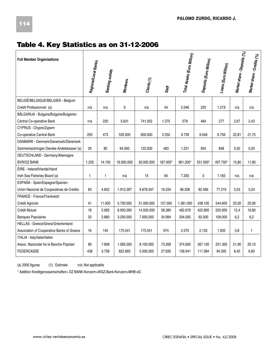# **Table 4. Key Statistics as on 31-12-2006**

| <b>Full Member Organisations</b>           | Regional/Local Banks | <b>Banking outlets</b> | <b>Members</b> | $C$ lients (1) | Staff    | Total Assets (Euro Million) | Deposits (Euro Million) | Loans (Euro Million) | Market share - Deposits (%) | Market share - Credits (%) |
|--------------------------------------------|----------------------|------------------------|----------------|----------------|----------|-----------------------------|-------------------------|----------------------|-----------------------------|----------------------------|
| BELGIË/BELGIQUE/BELGIEN - Belgium          |                      |                        |                |                |          |                             |                         |                      |                             |                            |
| Crédit Professionnel (a)                   | n/a                  | n/a                    | 9              | n/a            | 44       | 2.046                       | 220                     | 1.219                | n/a                         | n/a                        |
| BÃLGARIJA - Bulgaria/Bulgarie/Bulgarien    |                      |                        |                |                |          |                             |                         |                      |                             |                            |
| Central Co-operative Bank                  | n/a                  | 220                    | 5.631          | 741.052        | 1.375    | 579                         | 484                     | 277                  | 2.67                        | 2.43                       |
| CYPRUS - Chypre/Zypern                     |                      |                        |                |                |          |                             |                         |                      |                             |                            |
| Co-operative Central Bank                  | 293                  | 473                    | 535.000        | 600.000        | 2.250    | 9.739                       | 9.048                   | 6.756                | 22,81                       | 21,70                      |
| DANMARK - Denmark/Danemark/Dänemark        |                      |                        |                |                |          |                             |                         |                      |                             |                            |
| Sammenslutningen Danske Andelskasser (a)   | 29                   | 80                     | 64.000         | 122.000        | 483      | 1.221                       | 954                     | 848                  | 0.50                        | 0,50                       |
| DEUTSCHLAND - Germany/Allemagne            |                      |                        |                |                |          |                             |                         |                      |                             |                            |
| <b>BVR/DZ BANK</b>                         | 1.255                | 14.100                 | 16.000.000     | 30.000.000     | 187.000* | 961.200*                    | 551.000*                | 497.700*             | 15.80                       | 11.80                      |
| ÉIRE - Ireland/Irlande/Irland              |                      |                        |                |                |          |                             |                         |                      |                             |                            |
| Irish Sea Fisheries Board (a)              | 1                    | 1                      | n/a            | 15             | 94       | 7.393                       | 0                       | 1.165                | n/a                         | n/a                        |
| ESPAÑA - Spain/Espagne/Spanien             |                      |                        |                |                |          |                             |                         |                      |                             |                            |
| Unión Nacional de Cooperativas de Crédito  | 83                   | 4.822                  | 1.912.287      | 9.878.047      | 19.334   | 96.208                      | 82.466                  | 77.219               | 5,03                        | 5,24                       |
| FRANCE - France/Frankreich                 |                      |                        |                |                |          |                             |                         |                      |                             |                            |
| Crédit Agricole                            | 41                   | 11.000                 | 5.700.000      | 31.000.000     | 157.000  | 1.381.000                   | 438.100                 | 544.600              | 25,00                       | 20.90                      |
| Crédit Mutuel                              | 18                   | 5.065                  | 6.900.000      | 14.500.000     | 58.380   | 482.676                     | 422.800                 | 220.000              | 12,4                        | 16.80                      |
| <b>Banques Populaires</b>                  | 20                   | 2.880                  | 3.200.000      | 7.000.000      | 34.994   | 204.000                     | 92.000                  | 109.000              | 6,2                         | 8,2                        |
| HELLAS - Greece/Grece/Griechenland         |                      |                        |                |                |          |                             |                         |                      |                             |                            |
| Association of Cooperative Banks of Greece | 16                   | 145                    | 175.541        | 175.541        | 974      | 2.570                       | 2.135                   | 1.935                | 0.8                         | 1                          |
| ITALIA - Italy/Italie/Italien              |                      |                        |                |                |          |                             |                         |                      |                             |                            |
| Assoc. Nazionale fra le Banche Popolari    | 89                   | 7.808                  | 1.065.000      | 8.100.000      | 73.269   | 374.600                     | 267.100                 | 251.300              | 21,90                       | 20,10                      |
| <b>FEDERCASSE</b>                          | 438                  | 3.758                  | 822.893        | 5.000.000      | 27.835   | 136.941                     | 111.084                 | 94.305               | 8,40                        | 6,60                       |

(a) 2005 figures (1): Estimate n/a: Not applicable

\* Addition Kreditgenossenschaften+ DZ BANK-Konzern+WGZ-Bank-Konzern+MHB eG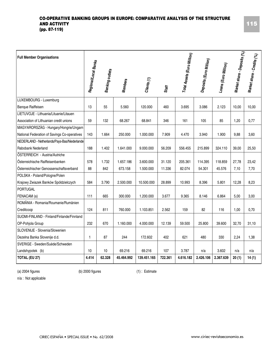| <b>Full Member Organisations</b>             | Regional/Local Banks | Banking outlets | <b>Members</b> | $C$ lients $(t)$ |         | Total Assets (Euro Million) | Deposits (Euro Million) | Loans (Euro Million) | Market share - Deposits (%) | Market share - Credits (%) |
|----------------------------------------------|----------------------|-----------------|----------------|------------------|---------|-----------------------------|-------------------------|----------------------|-----------------------------|----------------------------|
|                                              |                      |                 |                |                  | Staff   |                             |                         |                      |                             |                            |
| LUXEMBOURG - Luxemburg                       |                      |                 |                |                  |         |                             |                         |                      |                             |                            |
| <b>Banque Raiffeisen</b>                     | 13                   | 55              | 5.560          | 120.000          | 460     | 3.695                       | 3.086                   | 2.123                | 10,00                       | 10,00                      |
| LIETUVOJE - Lithuania/Lituanie/Litauen       |                      |                 |                |                  |         |                             |                         |                      |                             |                            |
| Association of Lithuanian credit unions      | 59                   | 132             | 68.267         | 68.841           | 346     | 161                         | 105                     | 85                   | 1,20                        | 0,77                       |
| MAGYARORSZÁG - Hungary/Hongrie/Ungarn        |                      |                 |                |                  |         |                             |                         |                      |                             |                            |
| National Federation of Savings Co-operatives | 143                  | 1.664           | 250.000        | 1.000.000        | 7.909   | 4.470                       | 3.940                   | 1.900                | 9,88                        | 3,60                       |
| NEDERLAND - Netherlands/Pays-Bas/Niederlande |                      |                 |                |                  |         |                             |                         |                      |                             |                            |
| Rabobank Nederland                           | 188                  | 1.402           | 1.641.000      | 9.000.000        | 56.209  | 556.455                     | 215.899                 | 324.110              | 39,00                       | 25,50                      |
| ÖSTERREICH - Austria/Autriche                |                      |                 |                |                  |         |                             |                         |                      |                             |                            |
| Österreichische Raiffeisenbanken             | 578                  | 1.732           | 1.657.186      | 3.600.000        | 31.120  | 205.361                     | 114.395                 | 118.859              | 27,78                       | 23,42                      |
| Österreichischer Genossenschaftsverband      | 88                   | 842             | 673.158        | 1.500.000        | 11.336  | 82.074                      | 54.301                  | 45.576               | 7,10                        | 7,70                       |
| POLSKA - Poland/Pologne/Polen                |                      |                 |                |                  |         |                             |                         |                      |                             |                            |
| Krajowy Zwiazek Banków Spóldzielczych        | 584                  | 3.790           | 2.500.000      | 10.500.000       | 28.899  | 10.993                      | 8.396                   | 5.801                | 12,28                       | 8,23                       |
| PORTUGAL                                     |                      |                 |                |                  |         |                             |                         |                      |                             |                            |
| FENACAM (a)                                  | 111                  | 665             | 300.000        | 1.200.000        | 3.677   | 9.365                       | 8.146                   | 6.864                | 5,00                        | 3,00                       |
| ROMÂNIA - Romania/Roumanie/Rumänien          |                      |                 |                |                  |         |                             |                         |                      |                             |                            |
| Creditcoop                                   | 124                  | 811             | 760.000        | 1.103.851        | 2.562   | 159                         | 82                      | 116                  | 1,00                        | 0,70                       |
| SUOMI-FINLAND - Finland/Finlande/Finnland    |                      |                 |                |                  |         |                             |                         |                      |                             |                            |
| OP-Pohjola Group                             | 232                  | 670             | 1.160.000      | 4.000.000        | 12.139  | 59.500                      | 25.800                  | 39.600               | 32,70                       | 31,10                      |
| SLOVENIJE - Slovenia/Slowenien               |                      |                 |                |                  |         |                             |                         |                      |                             |                            |
| Dezelna Banka Slovenije d.d.                 | $\mathbf{1}$         | 87              | 244            | 172.602          | 402     | 621                         | 480                     | 330                  | 2,24                        | 1,38                       |
| SVERIGE - Sweden/Suède/Schweden              |                      |                 |                |                  |         |                             |                         |                      |                             |                            |
| Landshypotek (b)                             | 10                   | 10              | 69.216         | 69.216           | 107     | 3.787                       | n/a                     | 3.602                | n/a                         | n/a                        |
| TOTAL (EU 27)                                | 4.414                | 62.328          | 45.464.992     | 139.451.165      | 722.361 | 4.616.182                   | 2.426.106               | 2.367.639            | 20(1)                       | 14(1)                      |

(a) 2004 figures (b) 2000 figures (1) : Estimate

n/a : Not applicable

**115**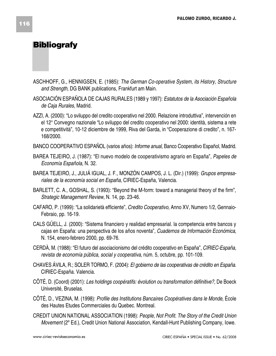# **Bibliografy**

- ASCHHOFF, G., HENNIGSEN, E. (1985): *The German Co-operative System, its History, Structure and Strength*, DG BANK publications, Frankfurt am Main.
- ASOCIACIÓN ESPAÑOLA DE CAJAS RURALES (1989 y 1997): *Estatutos de la Asociación Española de Caja Rurales*, Madrid.
- AZZI, A. (2000): "Lo sviluppo del credito cooperativo nel 2000. Relazione introduttiva", intervención en el 12° Convegno nazionale "Lo sviluppo del credito cooperativo nel 2000: identità, sistema a rete e competitività", 10-12 diciembre de 1999, Riva del Garda, in "Cooperazione di credito", n. 167- 168/2000.
- BANCO COOPERATIVO ESPAÑOL (varios años): *Informe anual*, Banco Cooperativo Español, Madrid.
- BAREA TEJEIRO, J. (1987): "El nuevo modelo de cooperativismo agrario en España", *Papeles de Economía Española*, N. 32.
- BAREA TEJEIRO, J., JULIÁ IGUAL, J. F., MONZÓN CAMPOS, J. L. (Dir.) (1999): *Grupos empresariales de la economía social en España,* CIRIEC-España, Valencia.
- BARLETT, C. A., GOSHAL, S. (1993): "Beyond the M-form: toward a managerial theory of the firm", *Strategic Management Review*, N. 14, pp. 23-46.
- CAFARO, P. (1999): "La solidarietà efficiente", *Credito Cooperativo,* Anno XV, Numero 1/2, Gennaio-Febraio, pp. 16-19.
- CALS GÜELL, J. (2000): "Sistema financiero y realidad empresarial. la competencia entre bancos y cajas en España: una perspectiva de los años noventa", *Cuadernos de Información Económica*, N. 154, enero-febrero 2000, pp. 69-76.
- CERDÀ, M. (1988): "El futuro del asociacionismo del crédito cooperativo en España", *CIRIEC-España, revista de economía pública, social y cooperativa,* núm. 5, octubre, pp. 101-109.
- CHAVES ÁVILA, R.; SOLER TORMO, F. (2004): *El gobierno de las cooperativas de crédito en España*. CIRIEC-España. Valencia.
- CÔTÉ, D. (Coord) (2001): *Les holdings coopératifs: évolution ou transformation définitive?,* De Boeck Université, Bruselas.
- CÔTÉ, D., VEZINA, M. (1998): *Profile des Institutions Bancaires Coopératives dans le Monde,* École des Hautes Etudes Commerciales du Quebec. Montreal.
- CREDIT UNION NATIONAL ASSOCIATION (1998): *People, Not Profit. The Story of the Credit Union Movement* (2º Ed.), Credit Union National Association, Kendall-Hunt Publishing Company, Iowe.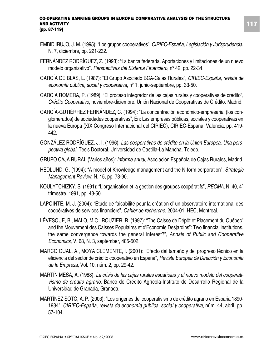- EMBID IRUJO, J. M. (1995): "Los grupos cooperativos", *CIRIEC-España, Legislación y Jurisprudencia*, N. 7, diciembre, pp. 221-232.
- FERNÁNDEZ RODRÍGUEZ, Z. (1993): "La banca federada. Aportaciones y limitaciones de un nuevo modelo organizativo". *Perspectivas del Sistema Financiero*, nº 42, pp. 22-34.
- GARCÍA DE BLAS, L. (1987): "El Grupo Asociado BCA-Cajas Rurales", *CIRIEC-España, revista de economía pública, social y cooperativa*, nº 1, junio-septiembre, pp. 33-50.
- GARCÍA ROMERA, P. (1989): "El proceso integrador de las cajas rurales y cooperativas de crédito", *Crédito Cooperativo*, noviembre-diciembre. Unión Nacional de Cooperativas de Crédito. Madrid.
- GARCÍA-GUTIÉRREZ FERNÁNDEZ, C. (1994): "La concentración económico-empresarial (los conglomerados) de sociedades cooperativas", En: Las empresas públicas, sociales y cooperativas en la nueva Europa (XIX Congreso Internacional del CIRIEC), CIRIEC-España, Valencia, pp. 419- 442.
- GONZÁLEZ RODRÍGUEZ, J. I. (1996): *Las cooperativas de crédito en la Unión Europea. Una perspectiva global,* Tesis Doctoral. Universidad de Castilla-La Mancha. Toledo.
- GRUPO CAJA RURAL (Varios años): *Informe anual*, Asociación Española de Cajas Rurales, Madrid.
- HEDLUND, G. (1994): "A model of Knowledge management and the N-form corporation", *Strategic Management Review*, N. 15, pp. 73-90.
- KOULYTCHIZKY, S. (1991): "L'organisation et la gestion des groupes coopératifs", *RECMA*, N. 40, 4º trimestre, 1991, pp. 43-50.
- LAPOINTE, M. J. (2004): "Étude de faisabilité pour la création d' un observatoire international des coopératives de services financiers", *Cahier de recherche,* 2004-01, HEC, Montreal.
- LÉVESQUE, B., MALO, M.C., ROUZIER, R. (1997): "The Caisse de Dépôt et Placement du Québec" and the Mouvement des Caisses Populaires et d'Economie Desjardins": Two financial institutions, the same convergence towards the general interest?", *Annals of Public and Cooperative Economics*, V. 68, N. 3, september, 485-502.
- MARCO GUAL, A., MOYA CLEMENTE, I. (2001): "Efecto del tamaño y del progreso técnico en la eficiencia del sector de crédito cooperativo en España", *Revista Europea de Dirección y Economía de la Empresa,* Vol. 10, núm. 2, pp. 29-42.
- MARTÍN MESA, A. (1988): *La crisis de las cajas rurales españolas y el nuevo modelo del cooperativismo de crédito agrario*, Banco de Crédito Agrícola-Instituto de Desarrollo Regional de la Universidad de Granada, Granada.
- MARTÍNEZ SOTO, A. P. (2003): "Los orígenes del cooperativismo de crédito agrario en España 1890- 1934", *CIRIEC-España, revista de economía pública, social y cooperativa,* núm. 44, abril, pp. 57-104.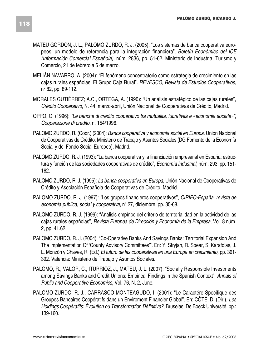- MATEU GORDON, J. L., PALOMO ZURDO, R. J. (2005): "Los sistemas de banca cooperativa europeos: un modelo de referencia para la integración financiera". *Boletín Económico del ICE (Información Comercial Española),* núm. 2836, pp. 51-62. Ministerio de Industria, Turismo y Comercio, 21 de febrero a 6 de marzo.
- MELIÁN NAVARRO, A. (2004): "El fenómeno concentratorio como estrategia de crecimiento en las cajas rurales españolas. El Grupo Caja Rural". *REVESCO, Revista de Estudios Cooperativos*, nº 82, pp. 89-112.
- MORALES GUTIÉRREZ; A.C., ORTEGA, A. (1990): "Un análisis estratégico de las cajas rurales", *Crédito Cooperativo*, N. 44, marzo-abril, Unión Nacional de Cooperativas de Crédito, Madrid.
- OPPO, G. (1996): *"Le banche di credito cooperativo tra mutualità, lucratività e «economia sociale»"*, *Cooperazione di credito*, n. 154/1996.
- PALOMO ZURDO, R. (Coor.) (2004): *Banca cooperativa y economía social en Europa.* Unión Nacional de Cooperativas de Crédito, Ministerio de Trabajo y Asuntos Sociales (DG Fomento de la Economía Social y del Fondo Social Europeo). Madrid.
- PALOMO ZURDO, R. J. (1993): "La banca cooperativa y la financiación empresarial en España: estructura y función de las sociedades cooperativas de crédito", *Economía Industrial,* núm. 293, pp. 151- 162.
- PALOMO ZURDO, R. J. (1995): *La banca cooperativa en Europa*, Unión Nacional de Cooperativas de Crédito y Asociación Española de Cooperativas de Crédito. Madrid.
- PALOMO ZURDO, R. J. (1997): *"*Los grupos financieros cooperativos", *CIRIEC-España, revista de economía pública, social y cooperativa*, nº 27, diciembre, pp. 35-68.
- PALOMO ZURDO, R. J. (1999): "Análisis empírico del criterio de territorialidad en la actividad de las cajas rurales españolas", *Revista Europea de Dirección y Economía de la Empresa*, Vol. 8 núm. 2, pp. 41.62.
- PALOMO ZURDO, R. J. (2004). "Co-Operative Banks And Savings Banks: Territorial Expansion And The Implementation Of 'County Advisory Committees'". En: Y. Stryjan, R. Spear, S. Karafolas, J. L. Monzón y Chaves, R. (Ed.) *El futuro de las cooperativas en una Europa en crecimiento,* pp. 361- 392. Valencia: Ministerio de Trabajo y Asuntos Sociales.
- PALOMO, R., VALOR, C., ITURRIOZ, J., MATEU, J. L. (2007): "Socially Responsible Investments among Savings Banks and Credit Unions: Empirical Findings in the Spanish Context", *Annals of Public and Cooperative Economics*, Vol. 76, N. 2, June.
- PALOMO ZURDO, R. J., CARRASCO MONTEAGUDO, I. (2001): "Le Caractére Specifique des Groupes Bancaires Coopératifs dans un Enviroment Financier Global". En: CÔTÉ, D. (Dir.). *Les Holdings Coopératifs: Évolution ou Transformation Définitive?*, Bruselas: De Boeck Université, pp.: 139-160.